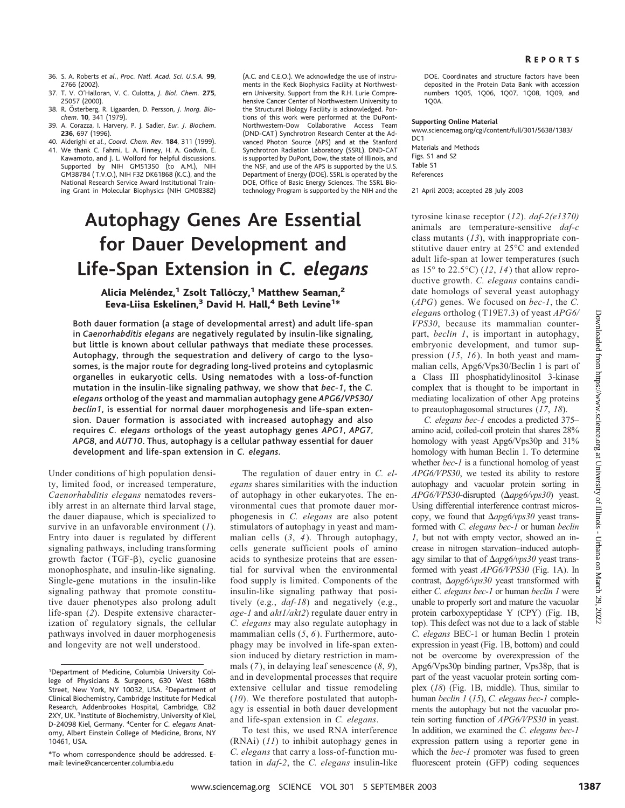- 36. S. A. Roberts *et al.*, *Proc. Natl. Acad. Sci. U.S.A.* **99**, 2766 (2002).
- 37. T. V. O'Halloran, V. C. Culotta, *J. Biol. Chem.* **275**, 25057 (2000).
- 38. R. Österberg, R. Ligaarden, D. Persson, *J. Inorg. Biochem*. **10**, 341 (1979).
- 39. A. Corazza, I. Harvery, P. J. Sadler, *Eur. J. Biochem*. **236**, 697 (1996).
- 40. Alderighi *et al.*, *Coord. Chem. Rev.* **184**, 311 (1999). 41. We thank C. Fahrni, L. A. Finney, H. A. Godwin, E. Kawamoto, and J. L. Wolford for helpful discussions. Supported by NIH GM51350 (to A.M.), NIH GM38784 ( T.V.O.), NIH F32 DK61868 (K.C.), and the National Research Service Award Institutional Training Grant in Molecular Biophysics (NIH GM08382)

(A.C. and C.E.O.). We acknowledge the use of instruments in the Keck Biophysics Facility at Northwestern University. Support from the R.H. Lurie Comprehensive Cancer Center of Northwestern University to the Structural Biology Facility is acknowledged. Portions of this work were performed at the DuPont-Northwestern-Dow Collaborative Access Team (DND-CAT ) Synchrotron Research Center at the Advanced Photon Source (APS) and at the Stanford Synchrotron Radiation Laboratory (SSRL). DND-CAT is supported by DuPont, Dow, the state of Illinois, and the NSF, and use of the APS is supported by the U.S. Department of Energy (DOE). SSRL is operated by the DOE, Office of Basic Energy Sciences. The SSRL Biotechnology Program is supported by the NIH and the

# **Autophagy Genes Are Essential for Dauer Development and Life-Span Extension in** *C. elegans*

## Alicia Meléndez,<sup>1</sup> Zsolt Tallóczy,<sup>1</sup> Matthew Seaman,<sup>2</sup> Eeva-Liisa Eskelinen, $^3$  David H. Hall, $^4$  Beth Levine<sup>1\*</sup>

Both dauer formation (a stage of developmental arrest) and adult life-span in *Caenorhabditis elegans* are negatively regulated by insulin-like signaling, but little is known about cellular pathways that mediate these processes. Autophagy, through the sequestration and delivery of cargo to the lysosomes, is the major route for degrading long-lived proteins and cytoplasmic organelles in eukaryotic cells. Using nematodes with a loss-of-function mutation in the insulin-like signaling pathway, we show that *bec-1*, the *C. elegans* ortholog of the yeast and mammalian autophagy gene *APG6/VPS30/ beclin1*, is essential for normal dauer morphogenesis and life-span extension. Dauer formation is associated with increased autophagy and also requires *C. elegans* orthologs of the yeast autophagy genes *APG1*, *APG7*, *APG8*, and *AUT10*. Thus, autophagy is a cellular pathway essential for dauer development and life-span extension in *C. elegans.*

Under conditions of high population density, limited food, or increased temperature, *Caenorhabditis elegans* nematodes reversibly arrest in an alternate third larval stage, the dauer diapause, which is specialized to survive in an unfavorable environment (*1*). Entry into dauer is regulated by different signaling pathways, including transforming growth factor (TGF- $\beta$ ), cyclic guanosine monophosphate, and insulin-like signaling. Single-gene mutations in the insulin-like signaling pathway that promote constitutive dauer phenotypes also prolong adult life-span (*2*). Despite extensive characterization of regulatory signals, the cellular pathways involved in dauer morphogenesis and longevity are not well understood.

The regulation of dauer entry in *C. elegans* shares similarities with the induction of autophagy in other eukaryotes. The environmental cues that promote dauer morphogenesis in *C. elegans* are also potent stimulators of autophagy in yeast and mammalian cells (*3*, *4*). Through autophagy, cells generate sufficient pools of amino acids to synthesize proteins that are essential for survival when the environmental food supply is limited. Components of the insulin-like signaling pathway that positively (e.g., *daf-18*) and negatively (e.g., *age-1* and *akt1/akt2*) regulate dauer entry in *C. elegans* may also regulate autophagy in mammalian cells (*5*, *6*). Furthermore, autophagy may be involved in life-span extension induced by dietary restriction in mammals (*7*), in delaying leaf senescence (*8*, *9*), and in developmental processes that require extensive cellular and tissue remodeling (*10*). We therefore postulated that autophagy is essential in both dauer development and life-span extension in *C. elegans*.

To test this, we used RNA interference (RNAi) (*11*) to inhibit autophagy genes in *C. elegans* that carry a loss-of-function mutation in *daf-2*, the *C. elegans* insulin-like DOE. Coordinates and structure factors have been deposited in the Protein Data Bank with accession numbers 1Q05, 1Q06, 1Q07, 1Q08, 1Q09, and  $1<sub>0</sub>0<sub>A</sub>$ 

#### **Supporting Online Material**

www.sciencemag.org/cgi/content/full/301/5638/1383/  $DC1$ Materials and Methods

Figs. S1 and S2 Table S1 References

21 April 2003; accepted 28 July 2003

tyrosine kinase receptor (*12*). *daf-2(e1370)* animals are temperature-sensitive *daf-c* class mutants (*13*), with inappropriate constitutive dauer entry at 25°C and extended adult life-span at lower temperatures (such as 15° to 22.5°C) (*12*, *14*) that allow reproductive growth. *C. elegans* contains candidate homologs of several yeast autophagy (*APG*) genes. We focused on *bec-1*, the *C. elegan*s ortholog (T19E7.3) of yeast *APG6/ VPS30*, because its mammalian counterpart, *beclin 1*, is important in autophagy, embryonic development, and tumor suppression (*15*, *16*). In both yeast and mammalian cells, Apg6/Vps30/Beclin 1 is part of a Class III phosphatidylinositol 3-kinase complex that is thought to be important in mediating localization of other Apg proteins to preautophagosomal structures (*17*, *18*).

*C. elegans bec-1* encodes a predicted 375– amino acid, coiled-coil protein that shares 28% homology with yeast Apg6/Vps30p and 31% homology with human Beclin 1. To determine whether *bec-1* is a functional homolog of yeast *APG6/VPS30*, we tested its ability to restore autophagy and vacuolar protein sorting in  $APG6/VPS30$ -disrupted ( $\Delta apg6/vps30$ ) yeast. Using differential interference contrast microscopy, we found that  $\Delta apg6/vps30$  yeast transformed with *C. elegans bec-1* or human *beclin 1*, but not with empty vector, showed an increase in nitrogen starvation–induced autophagy similar to that of  $\Delta apg6/vps30$  yeast transformed with yeast *APG6/VPS30* (Fig. 1A). In contrast,  $\Delta apg6/vps30$  yeast transformed with either *C. elegans bec-1* or human *beclin 1* were unable to properly sort and mature the vacuolar protein carboxypeptidase Y (CPY) (Fig. 1B, top). This defect was not due to a lack of stable *C. elegans* BEC-1 or human Beclin 1 protein expression in yeast (Fig. 1B, bottom) and could not be overcome by overexpression of the Apg6/Vps30p binding partner, Vps38p, that is part of the yeast vacuolar protein sorting complex (*18*) (Fig. 1B, middle). Thus, similar to human *beclin 1* (*15*), *C. elegans bec-1* complements the autophagy but not the vacuolar protein sorting function of *APG6/VPS30* in yeast. In addition, we examined the *C. elegans bec-1* expression pattern using a reporter gene in which the *bec-1* promoter was fused to green fluorescent protein (GFP) coding sequences or distributed are the system or  $PTSZ30$ , because its maximulan counter-<br>negatively regulated by maximulating counter in the signation ( $V_1$ , is in the system of a may be the lower  $V_1$ , is in the system of a may be spe

<sup>1</sup> Department of Medicine, Columbia University College of Physicians & Surgeons, 630 West 168th Street, New York, NY 10032, USA. <sup>2</sup>Department of Clinical Biochemistry, Cambridge Institute for Medical Research, Addenbrookes Hospital, Cambridge, CB2 2XY, UK. <sup>3</sup>Institute of Biochemistry, University of Kiel, D-24098 Kiel, Germany. <sup>4</sup> Center for *C. elegans* Anatomy, Albert Einstein College of Medicine, Bronx, NY 10461, USA.

<sup>\*</sup>To whom correspondence should be addressed. Email: levine@cancercenter.columbia.edu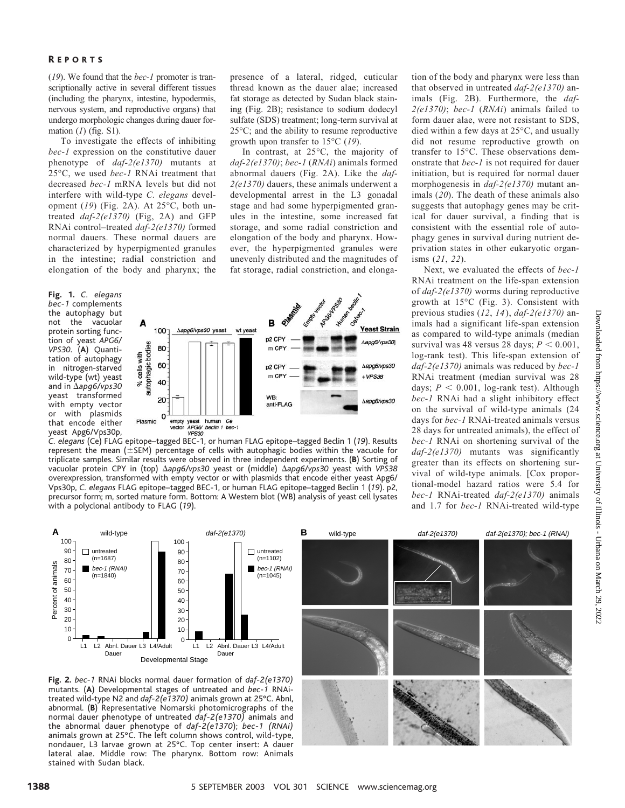### R EPORTS

(*19*). We found that the *bec-1* promoter is transcriptionally active in several different tissues (including the pharynx, intestine, hypodermis, nervous system, and reproductive organs) that undergo morphologic changes during dauer formation (*1*) (fig. S1).

To investigate the effects of inhibiting *bec-1* expression on the constitutive dauer phenotype of *daf-2(e1370)* mutants at 25°C, we used *bec-1* RNAi treatment that decreased *bec-1* mRNA levels but did not interfere with wild-type *C. elegans* development (*19*) (Fig. 2A). At 25°C, both untreated *daf-2(e1370)* (Fig, 2A) and GFP RNAi control–treated *daf-2(e1370)* formed normal dauers. These normal dauers are characterized by hyperpigmented granules in the intestine; radial constriction and elongation of the body and pharynx; the

**Fig. 1.** *C. elegans bec-1* complements the autophagy but not the vacuolar protein sorting function of yeast *APG6/ VPS30*. (**A**) Quantitation of autophagy in nitrogen-starved wild-type (wt) yeast and in -*apg6/vps30* yeast transformed with empty vector or with plasmids that encode either yeast Apg6/Vps30p,



presence of a lateral, ridged, cuticular thread known as the dauer alae; increased fat storage as detected by Sudan black staining (Fig. 2B); resistance to sodium dodecyl sulfate (SDS) treatment; long-term survival at 25°C; and the ability to resume reproductive

In contrast, at 25°C, the majority of *daf-2(e1370)*; *bec-1* (*RNAi*) animals formed abnormal dauers (Fig. 2A). Like the *daf-2(e1370)* dauers, these animals underwent a developmental arrest in the L3 gonadal stage and had some hyperpigmented granules in the intestine, some increased fat storage, and some radial constriction and elongation of the body and pharynx. However, the hyperpigmented granules were unevenly distributed and the magnitudes of fat storage, radial constriction, and elonga-

growth upon transfer to 15°C (*19*).

*C. elegans* (Ce) FLAG epitope–tagged BEC-1, or human FLAG epitope–tagged Beclin 1 (*19*). Results represent the mean  $(\pm$ SEM) percentage of cells with autophagic bodies within the vacuole for triplicate samples. Similar results were observed in three independent experiments. (**B**) Sortingof vacuolar protein CPY in (top)  $\Delta$ a*pg6/vps30* yeast or (middle)  $\Delta$ a*pg6/vps30* yeast with *VPS38* overexpression, transformed with empty vector or with plasmids that encode either yeast Apg6/ Vps30p, *C. elegans* FLAG epitope–tagged BEC-1, or human FLAG epitope–tagged Beclin 1 (*19*). p2, precursor form; m, sorted mature form. Bottom: A Western blot (WB) analysis of yeast cell lysates with a polyclonal antibody to FLAG (*19*).

tion of the body and pharynx were less than that observed in untreated *daf-2(e1370)* animals (Fig. 2B). Furthermore, the *daf-2(e1370)*; *bec-1* (*RNAi*) animals failed to form dauer alae, were not resistant to SDS, died within a few days at 25°C, and usually did not resume reproductive growth on transfer to 15°C. These observations demonstrate that *bec-1* is not required for dauer initiation, but is required for normal dauer morphogenesis in *daf-2(e1370)* mutant animals (*20*). The death of these animals also suggests that autophagy genes may be critical for dauer survival, a finding that is consistent with the essential role of autophagy genes in survival during nutrient deprivation states in other eukaryotic organisms (*21*, *22*).

Next, we evaluated the effects of *bec-1* RNAi treatment on the life-span extension of *daf-2(e1370)* worms during reproductive growth at 15°C (Fig. 3). Consistent with previous studies (*12*, *14*), *daf-2(e1370)* animals had a significant life-span extension as compared to wild-type animals (median survival was 48 versus 28 days;  $P < 0.001$ , log-rank test). This life-span extension of *daf-2(e1370)* animals was reduced by *bec-1* RNAi treatment (median survival was 28 days;  $P < 0.001$ , log-rank test). Although *bec-1* RNAi had a slight inhibitory effect on the survival of wild-type animals (24 days for *bec-1* RNAi-treated animals versus 28 days for untreated animals), the effect of *bec-1* RNAi on shortening survival of the *daf-2(e1370)* mutants was significantly greater than its effects on shortening survival of wild-type animals. [Cox proportional-model hazard ratios were 5.4 for *bec-1* RNAi-treated *daf-2(e1370)* animals and 1.7 for *bec-1* RNAi-treated wild-type



**Fig. 2.** *bec-1* RNAi blocks normal dauer formation of *daf-2(e1370)* mutants. (**A**) Developmental stages of untreated and *bec-1* RNAitreated wild-type N2 and *daf-2(e1370)* animals grown at 25°C. Abnl, abnormal. (**B**) Representative Nomarski photomicrographs of the normal dauer phenotype of untreated *daf-2(e1370)* animals and the abnormal dauer phenotype of *daf-2(e1370*); *bec-1 (RNAi)* animals grown at 25°C. The left column shows control, wild-type, nondauer, L3 larvae grown at 25°C. Top center insert: A dauer lateral alae. Middle row: The pharynx. Bottom row: Animals stained with Sudan black.

 $\Omega$ 10 20

Percent of animals

Percent of animals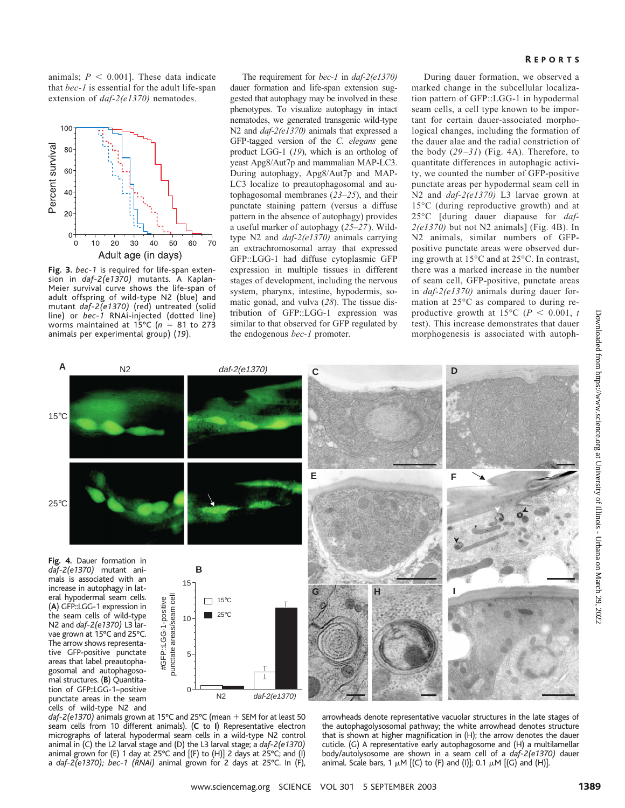animals;  $P \leq 0.001$ ]. These data indicate that *bec-1* is essential for the adult life-span extension of *daf-2(e1370)* nematodes.



**Fig. 3.** *bec-1* is required for life-span extension in *daf-2(e1370)* mutants. A Kaplan-Meier survival curve shows the life-span of adult offspring of wild-type N2 (blue) and mutant *daf-2(e1370)* (red) untreated (solid line) or *bec-1* RNAi-injected (dotted line) worms maintained at 15 $\degree$ C ( $n = 81$  to 273 animals per experimental group) (*19*).

The requirement for *bec-1* in *daf-2(e1370)* dauer formation and life-span extension suggested that autophagy may be involved in these phenotypes. To visualize autophagy in intact nematodes, we generated transgenic wild-type N2 and *daf-2(e1370)* animals that expressed a GFP-tagged version of the *C. elegans* gene product LGG-1 (*19*), which is an ortholog of yeast Apg8/Aut7p and mammalian MAP-LC3. During autophagy, Apg8/Aut7p and MAP-LC3 localize to preautophagosomal and autophagosomal membranes (*23–25*), and their punctate staining pattern (versus a diffuse pattern in the absence of autophagy) provides a useful marker of autophagy (*25–27*). Wildtype N2 and *daf-2(e1370)* animals carrying an extrachromosomal array that expressed GFP::LGG-1 had diffuse cytoplasmic GFP expression in multiple tissues in different stages of development, including the nervous system, pharynx, intestine, hypodermis, somatic gonad, and vulva (*28*). The tissue distribution of GFP::LGG-1 expression was similar to that observed for GFP regulated by the endogenous *bec-1* promoter.

### **REPORTS**

During dauer formation, we observed a marked change in the subcellular localization pattern of GFP::LGG-1 in hypodermal seam cells, a cell type known to be important for certain dauer-associated morphological changes, including the formation of the dauer alae and the radial constriction of the body (*29–31*) (Fig. 4A). Therefore, to quantitate differences in autophagic activity, we counted the number of GFP-positive punctate areas per hypodermal seam cell in N2 and *daf-2(e1370)* L3 larvae grown at 15°C (during reproductive growth) and at 25°C [during dauer diapause for *daf-2(e1370)* but not N2 animals] (Fig. 4B). In N2 animals, similar numbers of GFPpositive punctate areas were observed during growth at 15°C and at 25°C. In contrast, there was a marked increase in the number of seam cell, GFP-positive, punctate areas in *daf-2(e1370)* animals during dauer formation at 25°C as compared to during reproductive growth at 15 $\degree$ C (*P* < 0.001, *t* test). This increase demonstrates that dauer morphogenesis is associated with autoph-



 $d$ af-2(e1370) animals grown at 15°C and 25°C (mean  $+$  SEM for at least 50 seam cells from 10 different animals). (**C** to **I**) Representative electron micrographs of lateral hypodermal seam cells in a wild-type N2 control animal in (C) the L2 larval stage and (D) the L3 larval stage; a *daf-2(e1370)* animal grown for (E) 1 day at 25°C and  $[(F)$  to  $(H)]$  2 days at 25°C; and (I) a *daf-2(e1370); bec-1 (RNAi)* animal grown for 2 days at 25°C. In (F),

arrowheads denote representative vacuolar structures in the late stages of the autophagolysosomal pathway; the white arrowhead denotes structure that is shown at higher magnification in (H); the arrow denotes the dauer cuticle. (G) A representative early autophagosome and (H) a multilamellar body/autolysosome are shown in a seam cell of a *daf-2(e1370)* dauer animal. Scale bars, 1  $\mu$ M [(C) to (F) and (I)]; 0.1  $\mu$ M [(G) and (H)].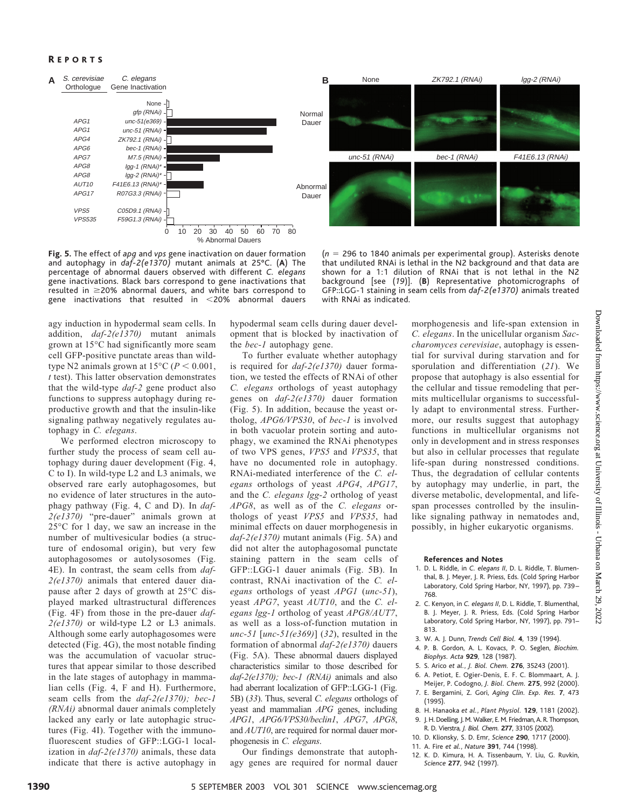## **REPORTS**



**Fig. 5.** The effect of *apg* and *vps* gene inactivation on dauer formation and autophagy in *daf-2(e1370)* mutant animals at 25°C. (**A**) The percentage of abnormal dauers observed with different *C. elegans* gene inactivations. Black bars correspond to gene inactivations that  $resulted$  in  $\geq$ 20% abnormal dauers, and white bars correspond to gene inactivations that resulted in 20% abnormal dauers

(*n* 296 to 1840 animals per experimental group). Asterisks denote that undiluted RNAi is lethal in the N2 background and that data are shown for a 1:1 dilution of RNAi that is not lethal in the N2 background [see (*19*)]. (**B**) Representative photomicrographs of GFP::LGG-1 stainingin seam cells from *daf-2(e1370)* animals treated with RNAi as indicated.

agy induction in hypodermal seam cells. In addition, *daf-2(e1370)* mutant animals grown at 15°C had significantly more seam cell GFP-positive punctate areas than wildtype N2 animals grown at  $15^{\circ}$ C ( $P < 0.001$ , *t* test). This latter observation demonstrates that the wild-type *daf-2* gene product also functions to suppress autophagy during reproductive growth and that the insulin-like signaling pathway negatively regulates autophagy in *C. elegans*.

We performed electron microscopy to further study the process of seam cell autophagy during dauer development (Fig. 4, C to I). In wild-type L2 and L3 animals, we observed rare early autophagosomes, but no evidence of later structures in the autophagy pathway (Fig. 4, C and D). In *daf-2(e1370)* "pre-dauer" animals grown at 25°C for 1 day, we saw an increase in the number of multivesicular bodies (a structure of endosomal origin), but very few autophagosomes or autolysosomes (Fig. 4E). In contrast, the seam cells from *daf-2(e1370)* animals that entered dauer diapause after 2 days of growth at 25°C displayed marked ultrastructural differences (Fig. 4F) from those in the pre-dauer *daf-2(e1370)* or wild-type L2 or L3 animals. Although some early autophagosomes were detected (Fig. 4G), the most notable finding was the accumulation of vacuolar structures that appear similar to those described in the late stages of autophagy in mammalian cells (Fig. 4, F and H). Furthermore, seam cells from the *daf-2(e1370); bec-1 (RNAi)* abnormal dauer animals completely lacked any early or late autophagic structures (Fig. 4I). Together with the immunofluorescent studies of GFP::LGG-1 localization in *daf-2(e1370)* animals, these data indicate that there is active autophagy in hypodermal seam cells during dauer development that is blocked by inactivation of the *bec-1* autophagy gene.

To further evaluate whether autophagy is required for *daf-2(e1370)* dauer formation, we tested the effects of RNAi of other *C. elegans* orthologs of yeast autophagy genes on *daf-2(e1370)* dauer formation (Fig. 5). In addition, because the yeast ortholog, *APG6/VPS30*, of *bec-1* is involved in both vacuolar protein sorting and autophagy, we examined the RNAi phenotypes of two VPS genes, *VPS5* and *VPS35*, that have no documented role in autophagy. RNAi-mediated interference of the *C. elegans* orthologs of yeast *APG4*, *APG17*, and the *C. elegans lgg-2* ortholog of yeast *APG8*, as well as of the *C. elegans* orthologs of yeast *VPS5* and *VPS35*, had minimal effects on dauer morphogenesis in *daf-2(e1370)* mutant animals (Fig. 5A) and did not alter the autophagosomal punctate staining pattern in the seam cells of GFP::LGG-1 dauer animals (Fig. 5B). In contrast, RNAi inactivation of the *C. elegans* orthologs of yeast *APG1* (*unc-51*), yeast *APG7*, yeast *AUT10*, and the *C. elegans lgg-1* ortholog of yeast *APG8/AUT7*, as well as a loss-of-function mutation in *unc-51* [*unc-51(e369)*] (*32*), resulted in the formation of abnormal *daf-2(e1370)* dauers (Fig. 5A). These abnormal dauers displayed characteristics similar to those described for *daf-2(e1370); bec-1 (RNAi)* animals and also had aberrant localization of GFP::LGG-1 (Fig. 5B) (*33*). Thus, several *C. elegans* orthologs of yeast and mammalian *APG* genes, including *APG1*, *APG6/VPS30/beclin1*, *APG7*, *APG8*, and *AUT10*, are required for normal dauer morphogenesis in *C. elegans*.

Our findings demonstrate that autophagy genes are required for normal dauer morphogenesis and life-span extension in *C. elegans*. In the unicellular organism *Saccharomyces cerevisiae*, autophagy is essential for survival during starvation and for sporulation and differentiation (*21*). We propose that autophagy is also essential for the cellular and tissue remodeling that permits multicellular organisms to successfully adapt to environmental stress. Furthermore, our results suggest that autophagy functions in multicellular organisms not only in development and in stress responses but also in cellular processes that regulate life-span during nonstressed conditions. Thus, the degradation of cellular contents by autophagy may underlie, in part, the diverse metabolic, developmental, and lifespan processes controlled by the insulinlike signaling pathway in nematodes and, possibly, in higher eukaryotic organisms.

#### **References and Notes**

- 1. D. L. Riddle, in *C. elegans II*, D. L. Riddle, T. Blumenthal, B. J. Meyer, J. R. Priess, Eds. (Cold Spring Harbor Laboratory, Cold Spring Harbor, NY, 1997), pp. 739-768.
- 2. C. Kenyon, in *C. elegans II*, D. L. Riddle, T. Blumenthal, B. J. Meyer, J. R. Priess, Eds. (Cold Spring Harbor Laboratory, Cold Spring Harbor, NY, 1997), pp. 791-813.
- 3. W. A. J. Dunn, *Trends Cell Biol.* **4**, 139 (1994).
- 4. P. B. Gordon, A. L. Kovacs, P. O. Seglen, *Biochim. Biophys. Acta* **929**, 128 (1987).
- 5. S. Arico *et al.*, *J. Biol. Chem.* **276**, 35243 (2001).
- 6. A. Petiot, E. Ogier-Denis, E. F. C. Blommaart, A. J. Meijer, P. Codogno, *J. Biol. Chem.* **275**, 992 (2000).
- 7. E. Bergamini, Z. Gori, *Aging Clin. Exp. Res.* **7**, 473 (1995).
- 8. H. Hanaoka *et al.*, *Plant Physiol.* **129**, 1181 (2002).
- 9. J. H. Doelling, J. M. Walker, E. M. Friedman, A. R. Thompson,
- R. D. Vierstra, *J. Biol. Chem.* **277**, 33105 (2002).
- 10. D. Klionsky, S. D. Emr, *Science* **290**, 1717 (2000).
- 11. A. Fire *et al.*, *Nature* **391**, 744 (1998).
- 12. K. D. Kimura, H. A. Tissenbaum, Y. Liu, G. Ruvkin, *Science* **277**, 942 (1997).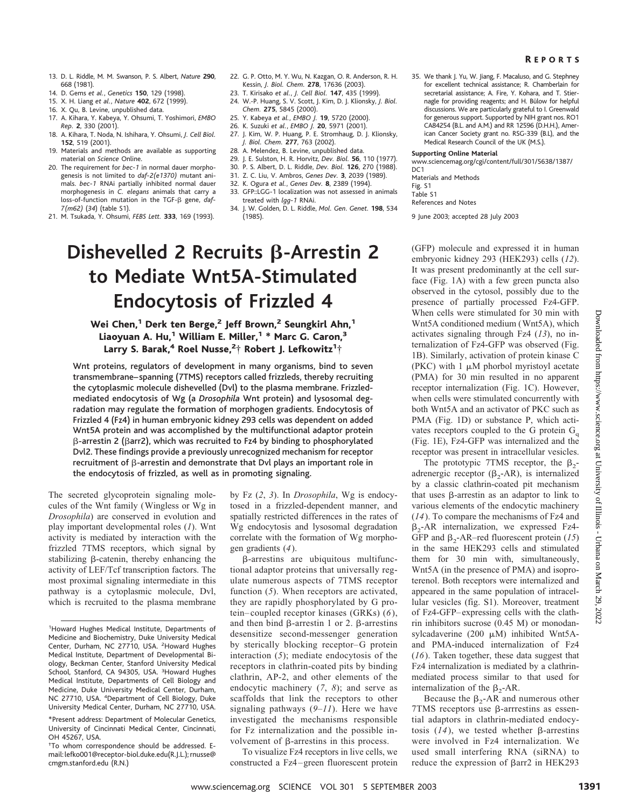- 13. D. L. Riddle, M. M. Swanson, P. S. Albert, *Nature* **290**, 668 (1981).
- 14. D. Gems *et al.*, *Genetics* **150**, 129 (1998).
- 15. X. H. Liang *et al.*, *Nature* **402**, 672 (1999).
- 16. X. Qu, B. Levine, unpublished data.
- 17. A. Kihara, Y. Kabeya, Y. Ohsumi, T. Yoshimori, *EMBO Rep.* **2**, 330 (2001).
- 18. A. Kihara, T. Noda, N. Ishihara, Y. Ohsumi, *J. Cell Biol.* **152**, 519 (2001).
- 19. Materials and methods are available as supporting material on *Science* Online.
- 20. The requirement for *bec-1* in normal dauer morphogenesis is not limited to *daf-2(e1370)* mutant animals. *bec-1* RNAi partially inhibited normal dauer morphogenesis in *C. elegans* animals that carry a loss-of-function mutation in the TGF-ß gene, daf-*7(m62)* (*34*) (table S1).
- 21. M. Tsukada, Y. Ohsumi, *FEBS Lett.* **333**, 169 (1993).
- 22. G. P. Otto, M. Y. Wu, N. Kazgan, O. R. Anderson, R. H. Kessin, *J. Biol. Chem.* **278**, 17636 (2003).
- 23. T. Kirisako *et al.*, *J. Cell Biol.* **147**, 435 (1999).
- 24. W.-P. Huang, S. V. Scott, J. Kim, D. J. Klionsky, *J. Biol. Chem.* **275**, 5845 (2000).
- 25. Y. Kabeya *et al.*, *EMBO J.* **19**, 5720 (2000).
- 26. K. Suzuki *et al.*, *EMBO J.* **20**, 5971 (2001).
- 27. J. Kim, W. P. Huang, P. E. Stromhaug, D. J. Klionsky, *J. Biol. Chem.* **277**, 763 (2002).
- 28. A. Melendez, B. Levine, unpublished data.
- 29. J. E. Sulston, H. R. Horvitz, *Dev. Biol.* **56**, 110 (1977).
- 30. P. S. Albert, D. L. Riddle, *Dev. Biol.* **126**, 270 (1988). 31. Z. C. Liu, V. Ambros, *Genes Dev.* **3**, 2039 (1989).
- 32. K. Ogura *et al.*, *Genes Dev.* **8**, 2389 (1994).
- 33. GFP::LGG-1 localization was not assessed in animals
- treated with *lgg-1* RNAi. 34. J. W. Golden, D. L. Riddle, *Mol. Gen. Genet.* **198**, 534
	- (1985).

# **Dishevelled 2 Recruits ß-Arrestin 2 to Mediate Wnt5A-Stimulated Endocytosis of Frizzled 4**

## Wei Chen,<sup>1</sup> Derk ten Berge,<sup>2</sup> Jeff Brown,<sup>2</sup> Seungkirl Ahn,<sup>1</sup> Liaoyuan A. Hu,<sup>1</sup> William E. Miller,<sup>1</sup> \* Marc G. Caron,<sup>3</sup> Larry S. Barak,<sup>4</sup> Roel Nusse,<sup>2</sup>† Robert J. Lefkowitz<sup>1</sup>†

Wnt proteins, regulators of development in many organisms, bind to seven transmembrane–spanning (7TMS) receptors called frizzleds, thereby recruiting the cytoplasmic molecule dishevelled (Dvl) to the plasma membrane. Frizzledmediated endocytosis of Wg (a *Drosophila* Wnt protein) and lysosomal degradation may regulate the formation of morphogen gradients. Endocytosis of Frizzled 4 (Fz4) in human embryonic kidney 293 cells was dependent on added Wnt5A protein and was accomplished by the multifunctional adaptor protein  $\beta$ -arrestin 2 ( $\beta$ arr2), which was recruited to Fz4 by binding to phosphorylated Dvl2. These findings provide a previously unrecognized mechanism for receptor recruitment of  $\beta$ -arrestin and demonstrate that Dvl plays an important role in the endocytosis of frizzled, as well as in promoting signaling.

The secreted glycoprotein signaling molecules of the Wnt family (Wingless or Wg in *Drosophila*) are conserved in evolution and play important developmental roles (*1*). Wnt activity is mediated by interaction with the frizzled 7TMS receptors, which signal by stabilizing  $\beta$ -catenin, thereby enhancing the activity of LEF/Tcf transcription factors. The most proximal signaling intermediate in this pathway is a cytoplasmic molecule, Dvl, which is recruited to the plasma membrane by Fz (*2*, *3*). In *Drosophila*, Wg is endocytosed in a frizzled-dependent manner, and spatially restricted differences in the rates of Wg endocytosis and lysosomal degradation correlate with the formation of Wg morphogen gradients (*4*).

-arrestins are ubiquitous multifunctional adaptor proteins that universally regulate numerous aspects of 7TMS receptor function (*5*). When receptors are activated, they are rapidly phosphorylated by G protein– coupled receptor kinases (GRKs) (*6*), and then bind  $\beta$ -arrestin 1 or 2.  $\beta$ -arrestins desensitize second-messenger generation by sterically blocking receptor–G protein interaction (*5*); mediate endocytosis of the receptors in clathrin-coated pits by binding clathrin, AP-2, and other elements of the endocytic machinery (*7*, *8*); and serve as scaffolds that link the receptors to other signaling pathways (*9*–*11*). Here we have investigated the mechanisms responsible for Fz internalization and the possible involvement of  $\beta$ -arrestins in this process.

To visualize Fz4 receptors in live cells, we constructed a Fz4–green fluorescent protein 35. We thank J. Yu, W. Jiang, F. Macaluso, and G. Stephney for excellent technical assistance; R. Chamberlain for secretarial assistance; A. Fire, Y. Kohara, and T. Stiernagle for providing reagents; and H. Bülow for helpful discussions. We are particularly grateful to I. Greenwald for generous support. Supported by NIH grant nos. RO1 CA84254 (B.L. and A.M.) and RR 12596 (D.H.H.), American Cancer Society grant no. RSG-339 (B.L), and the Medical Research Council of the UK (M.S.).

#### **Supporting Online Material**

www.sciencemag.org/cgi/content/full/301/5638/1387/

DC<sub>1</sub> Materials and Methods

- Fig. S1
- Table S1

References and Notes

9 June 2003; accepted 28 July 2003

(GFP) molecule and expressed it in human embryonic kidney 293 (HEK293) cells (*12*). It was present predominantly at the cell surface (Fig. 1A) with a few green puncta also observed in the cytosol, possibly due to the presence of partially processed Fz4-GFP. When cells were stimulated for 30 min with Wnt5A conditioned medium (Wnt5A), which activates signaling through Fz4 (*13*), no internalization of Fz4-GFP was observed (Fig. 1B). Similarly, activation of protein kinase C (PKC) with  $1 \mu M$  phorbol myristoyl acetate (PMA) for 30 min resulted in no apparent receptor internalization (Fig. 1C). However, when cells were stimulated concurrently with both Wnt5A and an activator of PKC such as PMA (Fig. 1D) or substance P, which activates receptors coupled to the G protein  $G<sub>a</sub>$ (Fig. 1E), Fz4-GFP was internalized and the receptor was present in intracellular vesicles.

The prototypic 7TMS receptor, the  $\beta_{2}$ adrenergic receptor  $(\beta_{2}-AR)$ , is internalized by a classic clathrin-coated pit mechanism that uses  $\beta$ -arrestin as an adaptor to link to various elements of the endocytic machinery (*14*). To compare the mechanisms of Fz4 and  $\beta_{2}$ -AR internalization, we expressed Fz4-GFP and  $\beta_2$ -AR–red fluorescent protein (15) in the same HEK293 cells and stimulated them for 30 min with, simultaneously, Wnt5A (in the presence of PMA) and isoproterenol. Both receptors were internalized and appeared in the same population of intracellular vesicles (fig. S1). Moreover, treatment of Fz4-GFP–expressing cells with the clathrin inhibitors sucrose (0.45 M) or monodansylcadaverine  $(200 \mu M)$  inhibited Wnt5Aand PMA-induced internalization of Fz4 (*16*). Taken together, these data suggest that Fz4 internalization is mediated by a clathrinmediated process similar to that used for internalization of the  $\beta_2$ -AR. **Berge,<sup>2</sup> left Brown,<sup>2</sup> Seungkirt Ahn,<sup>3</sup> Want cells were standard continued into the March 1<sup>6</sup> <b>Forecasts** (and the **Example Science (and the Caroline on the many organism, bind to seven the many organism, bind to sev** 

Because the  $\beta_2$ -AR and numerous other  $7TMS$  receptors use  $\beta$ -arrrestins as essential adaptors in clathrin-mediated endocytosis  $(14)$ , we tested whether  $\beta$ -arrestins were involved in Fz4 internalization. We used small interfering RNA (siRNA) to reduce the expression of  $\beta$ arr2 in HEK293

<sup>&</sup>lt;sup>1</sup>Howard Hughes Medical Institute, Departments of Medicine and Biochemistry, Duke University Medical Center, Durham, NC 27710, USA. <sup>2</sup>Howard Hughes Medical Institute, Department of Developmental Biology, Beckman Center, Stanford University Medical School, Stanford, CA 94305, USA. <sup>3</sup>Howard Hughes Medical Institute, Departments of Cell Biology and Medicine, Duke University Medical Center, Durham, NC 27710, USA. <sup>4</sup>Department of Cell Biology, Duke University Medical Center, Durham, NC 27710, USA.

<sup>\*</sup>Present address: Department of Molecular Genetics, University of Cincinnati Medical Center, Cincinnati, OH 45267, USA.

<sup>†</sup> To whom correspondence should be addressed. Email: lefko001@receptor-biol.duke.edu(R.J.L.); rnusse@ cmgm.stanford.edu (R.N.)